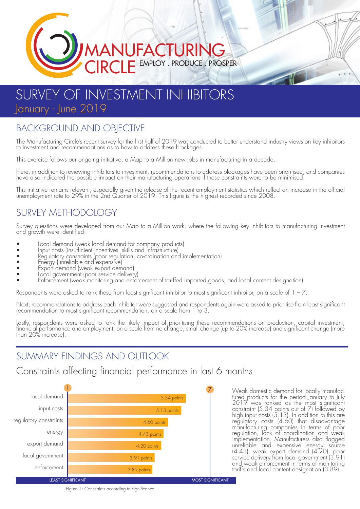# MANUFACTURING EMPLOY . PRODUCE . PROSPER

# SURVEY OF INVESTMENT INHIBITORS January - June 2019

### BACKGROUND AND OBIECTIVE

The Manufacturing Circle's recent survey for the first half of 2019 was conducted to better understand industry views on key inhibitors to investment and recommendations as to how to address these blockages.

This exercise follows our ongoing initiative, a Map to a Million new jobs in manufacturing in a decade.

Here, in addition to reviewing inhibitors to investment, recommendations to address blockages have been prioritised, and companies<br>have also indicated the possible impact on their manufacturing operations if these constrai

This initiative remains relevant, especially given the release of the recent employment statistics which reflect an increase in the official unemployment rate to 29% in the 2nd Quarter of 2019. This figure is the highest recorded since 2008.

### SURVEY METHODOLOGY

Survey questions were developed from our Map to a Million work, where the following key inhibitors to manufacturing investment and growth were identified:

- Local demand (weak local demand for company products)
- Input costs (insufficient incentives, skills and infrastructure)
- Regulatory constraints (poor regulation, co-ordination and implementation)
- Energy (unreliable and expensive)
- Export demand (weak export demand)
- Local government (poor service delivery)
- Enforcement (weak monitoring and enforcement of tariffed imported goods, and local content designation)

Respondents were asked to rank these from least significant inhibitor to most significant inhibitor, on a scale of  $1 - 7$ .

Next, recommendations to address each inhibitor were suggested and respondents again were asked to prioritise from least significant recommendation to most significant recommendation, on a scale from 1 to 3.

Lastly, respondents were asked to rank the likely impact of prioritising these recommendations on production, capital investment, financial performance and employment; on a scale from no change, small change (up to 20% increase) and significant change (more than 20% increase).

## SUMMARY FINDINGS AND OUTLOOK

#### Constraints affecting financial performance in last 6 months



2019 was ranked as the most significant constraint (5.34 points out of 7) followed by high input costs (5.13). In addition to this are regulatory costs (4.60) that disadvantage manufacturing companies in terms of poor regulation, lack of coordination and weak implementation. Manufacturers also flagged unreliable and expensive energy source (4.43), weak export demand (4.20), poor service delivery from local government (3.91) and weak enforcement in terms of monitoring tariffs and local content designation (3.89).

Figure 1: Constraints according to significance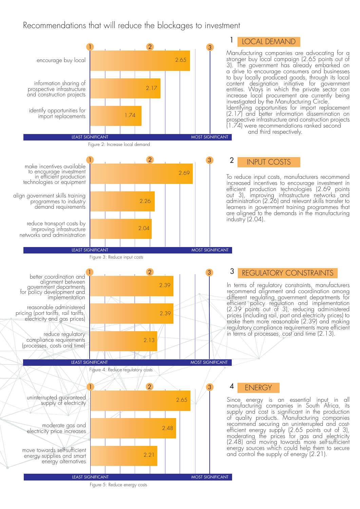#### Recommendations that will reduce the blockages to investment



Figure 5: Reduce energy costs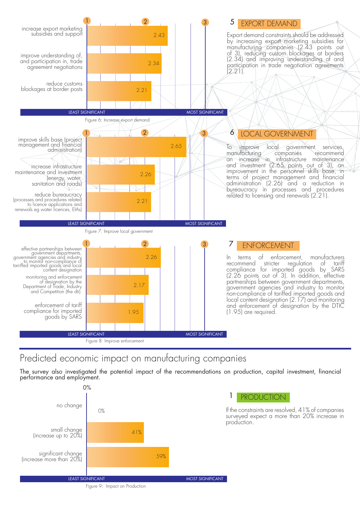

#### Predicted economic impact on manufacturing companies

The survey also investigated the potential impact of the recommendations on production, capital investment, financial performance and employment.